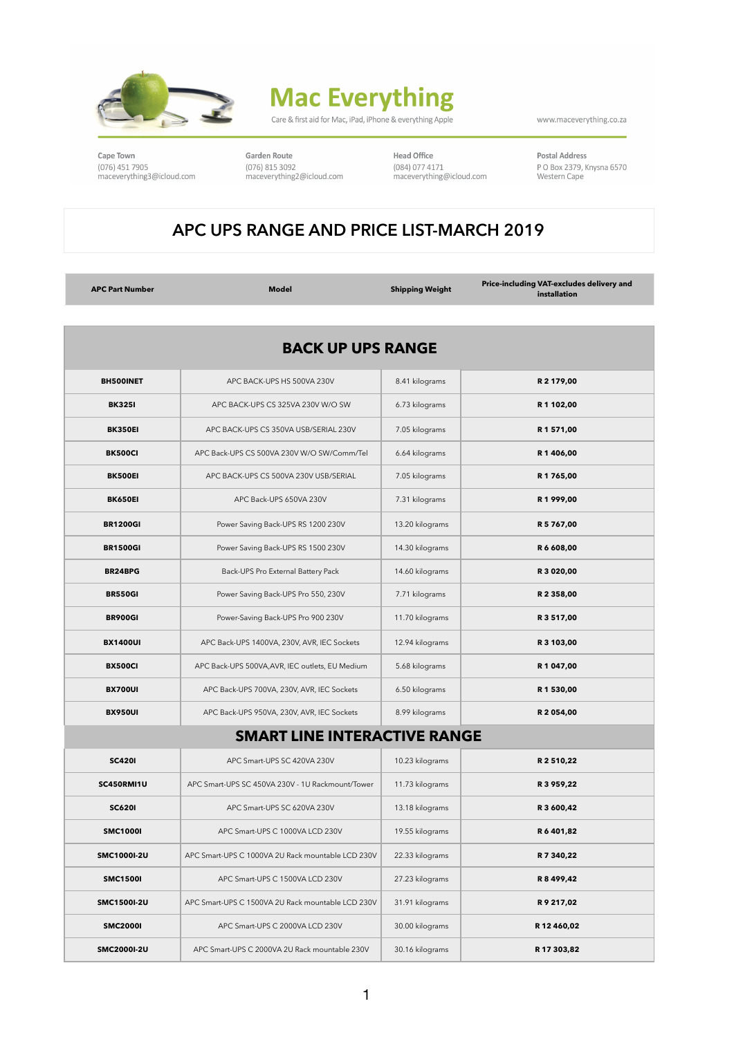

## **Mac Everything**

Care & first aid for Mac, iPad, iPhone & everything Apple

www.maceverything.co.za

Cape Town (076) 451 7905 maceverything3@icloud.com

Garden Route (076) 815 3092 maceverything2@icloud.com Head Office (084) 077 4171 maceverything@icloud.com Postal Address P O Box 2379, Knysna 6570 Western Cape

## **APC UPS RANGE AND PRICE LIST-MARCH 2019**

**APC Part Number Model Shipping Weight Price-including VAT-excludes delivery and installation**

| <b>BACK UP UPS RANGE</b> |                                                   |                 |             |  |  |
|--------------------------|---------------------------------------------------|-----------------|-------------|--|--|
| <b>BH500INET</b>         | APC BACK-UPS HS 500VA 230V                        | 8.41 kilograms  | R 2 179,00  |  |  |
| <b>BK3251</b>            | APC BACK-UPS CS 325VA 230V W/O SW                 | 6.73 kilograms  | R 1 102,00  |  |  |
| <b>BK350EI</b>           | APC BACK-UPS CS 350VA USB/SERIAL 230V             | 7.05 kilograms  | R1571,00    |  |  |
| <b>BK500CI</b>           | APC Back-UPS CS 500VA 230V W/O SW/Comm/Tel        | 6.64 kilograms  | R 1406,00   |  |  |
| <b>BK500EI</b>           | APC BACK-UPS CS 500VA 230V USB/SERIAL             | 7.05 kilograms  | R1765,00    |  |  |
| <b>BK650EI</b>           | APC Back-UPS 650VA 230V                           | 7.31 kilograms  | R1999,00    |  |  |
| <b>BR1200GI</b>          | Power Saving Back-UPS RS 1200 230V                | 13.20 kilograms | R 5 767,00  |  |  |
| <b>BR1500GI</b>          | Power Saving Back-UPS RS 1500 230V                | 14.30 kilograms | R6608,00    |  |  |
| <b>BR24BPG</b>           | Back-UPS Pro External Battery Pack                | 14.60 kilograms | R 3 020,00  |  |  |
| <b>BR550GI</b>           | Power Saving Back-UPS Pro 550, 230V               | 7.71 kilograms  | R 2 358,00  |  |  |
| <b>BR900GI</b>           | Power-Saving Back-UPS Pro 900 230V                | 11.70 kilograms | R 3 517,00  |  |  |
| <b>BX1400UI</b>          | APC Back-UPS 1400VA, 230V, AVR, IEC Sockets       | 12.94 kilograms | R 3 103,00  |  |  |
| <b>BX500CI</b>           | APC Back-UPS 500VA, AVR, IEC outlets, EU Medium   | 5.68 kilograms  | R 1 047,00  |  |  |
| <b>BX700UI</b>           | APC Back-UPS 700VA, 230V, AVR, IEC Sockets        | 6.50 kilograms  | R 1 530,00  |  |  |
| <b>BX950UI</b>           | APC Back-UPS 950VA, 230V, AVR, IEC Sockets        | 8.99 kilograms  | R 2054,00   |  |  |
|                          | <b>SMART LINE INTERACTIVE RANGE</b>               |                 |             |  |  |
| <b>SC4201</b>            | APC Smart-UPS SC 420VA 230V                       | 10.23 kilograms | R 2 510.22  |  |  |
| SC450RMI1U               | APC Smart-UPS SC 450VA 230V - 1U Rackmount/Tower  | 11.73 kilograms | R 3 959,22  |  |  |
| <b>SC6201</b>            | APC Smart-UPS SC 620VA 230V                       | 13.18 kilograms | R 3 600,42  |  |  |
| <b>SMC1000I</b>          | APC Smart-UPS C 1000VA LCD 230V                   | 19.55 kilograms | R 6 401,82  |  |  |
| SMC1000I-2U              | APC Smart-UPS C 1000VA 2U Rack mountable LCD 230V | 22.33 kilograms | R 7 340,22  |  |  |
| <b>SMC1500I</b>          | APC Smart-UPS C 1500VA LCD 230V                   | 27.23 kilograms | R 8 499,42  |  |  |
| SMC1500I-2U              | APC Smart-UPS C 1500VA 2U Rack mountable LCD 230V | 31.91 kilograms | R9217,02    |  |  |
| <b>SMC20001</b>          | APC Smart-UPS C 2000VA LCD 230V                   | 30.00 kilograms | R 12 460,02 |  |  |
| SMC2000I-2U              | APC Smart-UPS C 2000VA 2U Rack mountable 230V     | 30.16 kilograms | R 17 303,82 |  |  |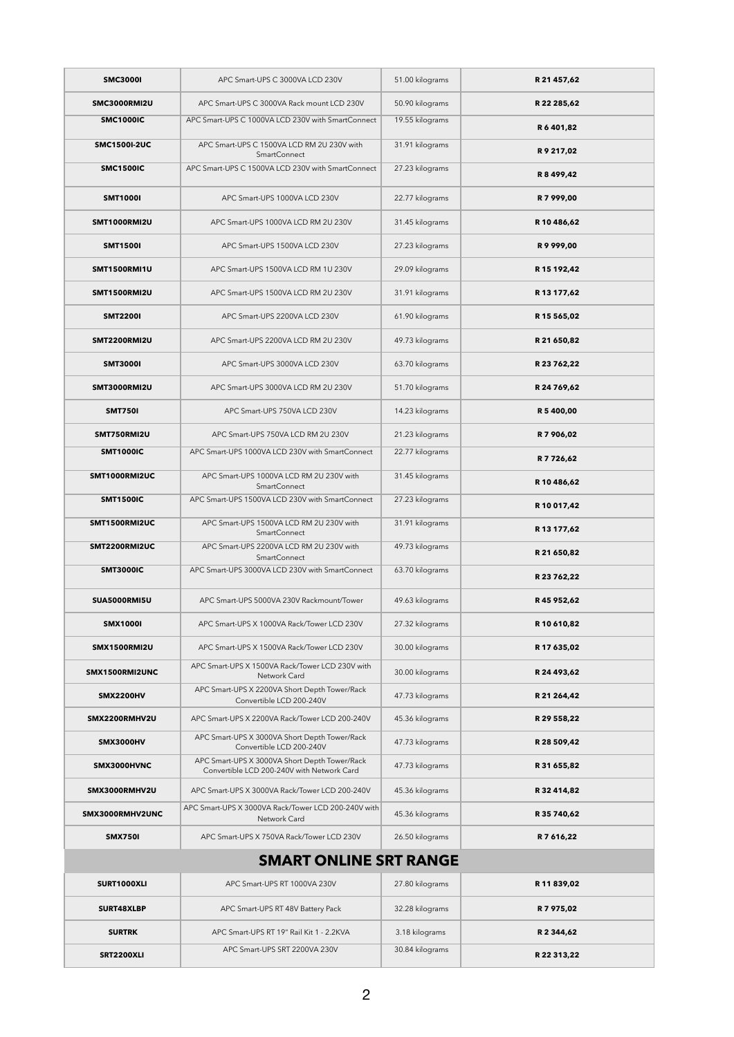| <b>SMC3000I</b>     | APC Smart-UPS C 3000VA LCD 230V                                                             | 51.00 kilograms | R 21 457,62 |
|---------------------|---------------------------------------------------------------------------------------------|-----------------|-------------|
| <b>SMC3000RMI2U</b> | APC Smart-UPS C 3000VA Rack mount LCD 230V                                                  | 50.90 kilograms | R 22 285,62 |
| <b>SMC1000IC</b>    | APC Smart-UPS C 1000VA LCD 230V with SmartConnect                                           | 19.55 kilograms | R 6 401,82  |
| <b>SMC1500I-2UC</b> | APC Smart-UPS C 1500VA LCD RM 2U 230V with<br>SmartConnect                                  | 31.91 kilograms | R9217,02    |
| <b>SMC1500IC</b>    | APC Smart-UPS C 1500VA LCD 230V with SmartConnect                                           | 27.23 kilograms | R 8 499,42  |
| <b>SMT1000I</b>     | APC Smart-UPS 1000VA LCD 230V                                                               | 22.77 kilograms | R 7 999,00  |
| <b>SMT1000RMI2U</b> | APC Smart-UPS 1000VA LCD RM 2U 230V                                                         | 31.45 kilograms | R 10 486,62 |
| <b>SMT1500I</b>     | APC Smart-UPS 1500VA LCD 230V                                                               | 27.23 kilograms | R9999,00    |
| SMT1500RMI1U        | APC Smart-UPS 1500VA LCD RM 1U 230V                                                         | 29.09 kilograms | R 15 192,42 |
| <b>SMT1500RMI2U</b> | APC Smart-UPS 1500VA LCD RM 2U 230V                                                         | 31.91 kilograms | R 13 177,62 |
| <b>SMT22001</b>     | APC Smart-UPS 2200VA LCD 230V                                                               | 61.90 kilograms | R 15 565,02 |
| <b>SMT2200RMI2U</b> | APC Smart-UPS 2200VA LCD RM 2U 230V                                                         | 49.73 kilograms | R 21 650,82 |
| <b>SMT3000I</b>     | APC Smart-UPS 3000VA LCD 230V                                                               | 63.70 kilograms | R 23 762,22 |
| <b>SMT3000RMI2U</b> | APC Smart-UPS 3000VA LCD RM 2U 230V                                                         | 51.70 kilograms | R 24 769,62 |
| <b>SMT750I</b>      | APC Smart-UPS 750VA LCD 230V                                                                | 14.23 kilograms | R 5 400,00  |
| SMT750RMI2U         | APC Smart-UPS 750VA LCD RM 2U 230V                                                          | 21.23 kilograms | R 7 906,02  |
| <b>SMT1000IC</b>    | APC Smart-UPS 1000VA LCD 230V with SmartConnect                                             | 22.77 kilograms | R 7 7 26,62 |
| SMT1000RMI2UC       | APC Smart-UPS 1000VA LCD RM 2U 230V with<br><b>SmartConnect</b>                             | 31.45 kilograms | R 10 486,62 |
| <b>SMT1500IC</b>    | APC Smart-UPS 1500VA LCD 230V with SmartConnect                                             | 27.23 kilograms | R 10 017,42 |
| SMT1500RMI2UC       | APC Smart-UPS 1500VA LCD RM 2U 230V with<br><b>SmartConnect</b>                             | 31.91 kilograms | R 13 177,62 |
| SMT2200RMI2UC       | APC Smart-UPS 2200VA LCD RM 2U 230V with<br><b>SmartConnect</b>                             | 49.73 kilograms | R 21 650,82 |
| <b>SMT3000IC</b>    | APC Smart-UPS 3000VA LCD 230V with SmartConnect                                             | 63.70 kilograms | R 23 762,22 |
| SUA5000RMI5U        | APC Smart-UPS 5000VA 230V Rackmount/Tower                                                   | 49.63 kilograms | R 45 952,62 |
| <b>SMX1000I</b>     | APC Smart-UPS X 1000VA Rack/Tower LCD 230V                                                  | 27.32 kilograms | R10610,82   |
| <b>SMX1500RMI2U</b> | APC Smart-UPS X 1500VA Rack/Tower LCD 230V                                                  | 30.00 kilograms | R 17 635,02 |
| SMX1500RMI2UNC      | APC Smart-UPS X 1500VA Rack/Tower LCD 230V with<br>Network Card                             | 30.00 kilograms | R 24 493,62 |
| <b>SMX2200HV</b>    | APC Smart-UPS X 2200VA Short Depth Tower/Rack<br>Convertible LCD 200-240V                   | 47.73 kilograms | R 21 264,42 |
| SMX2200RMHV2U       | APC Smart-UPS X 2200VA Rack/Tower LCD 200-240V                                              | 45.36 kilograms | R 29 558,22 |
| SMX3000HV           | APC Smart-UPS X 3000VA Short Depth Tower/Rack<br>Convertible LCD 200-240V                   | 47.73 kilograms | R 28 509,42 |
| SMX3000HVNC         | APC Smart-UPS X 3000VA Short Depth Tower/Rack<br>Convertible LCD 200-240V with Network Card | 47.73 kilograms | R 31 655,82 |
| SMX3000RMHV2U       | APC Smart-UPS X 3000VA Rack/Tower LCD 200-240V                                              | 45.36 kilograms | R 32 414,82 |
| SMX3000RMHV2UNC     | APC Smart-UPS X 3000VA Rack/Tower LCD 200-240V with<br>Network Card                         | 45.36 kilograms | R 35 740,62 |
| <b>SMX750I</b>      | APC Smart-UPS X 750VA Rack/Tower LCD 230V                                                   | 26.50 kilograms | R 7 616,22  |
|                     | <b>SMART ONLINE SRT RANGE</b>                                                               |                 |             |
| SURT1000XLI         | APC Smart-UPS RT 1000VA 230V                                                                | 27.80 kilograms | R 11 839,02 |
| SURT48XLBP          | APC Smart-UPS RT 48V Battery Pack                                                           | 32.28 kilograms | R 7 975,02  |
| <b>SURTRK</b>       | APC Smart-UPS RT 19" Rail Kit 1 - 2.2KVA                                                    | 3.18 kilograms  | R 2 344,62  |
| SRT2200XLI          | APC Smart-UPS SRT 2200VA 230V                                                               | 30.84 kilograms | R 22 313,22 |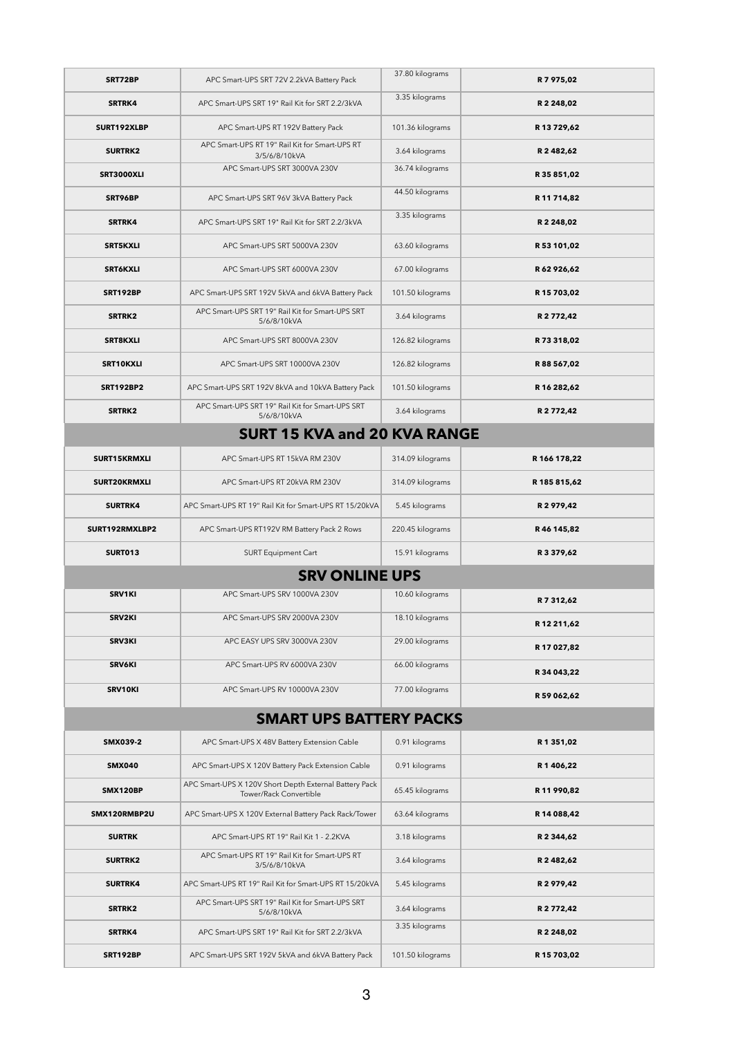| SRT72BP                        | APC Smart-UPS SRT 72V 2.2kVA Battery Pack                                        | 37.80 kilograms  | R 7 975,02   |  |  |
|--------------------------------|----------------------------------------------------------------------------------|------------------|--------------|--|--|
| SRTRK4                         | APC Smart-UPS SRT 19" Rail Kit for SRT 2.2/3kVA                                  | 3.35 kilograms   | R 2 248,02   |  |  |
| SURT192XLBP                    | APC Smart-UPS RT 192V Battery Pack                                               | 101.36 kilograms | R 13 729,62  |  |  |
| <b>SURTRK2</b>                 | APC Smart-UPS RT 19" Rail Kit for Smart-UPS RT<br>3/5/6/8/10kVA                  | 3.64 kilograms   | R 2 482,62   |  |  |
| SRT3000XLI                     | APC Smart-UPS SRT 3000VA 230V                                                    | 36.74 kilograms  | R 35 851,02  |  |  |
| SRT96BP                        | APC Smart-UPS SRT 96V 3kVA Battery Pack                                          | 44.50 kilograms  | R 11 714,82  |  |  |
| SRTRK4                         | APC Smart-UPS SRT 19" Rail Kit for SRT 2.2/3kVA                                  | 3.35 kilograms   | R 2 248,02   |  |  |
| <b>SRT5KXLI</b>                | APC Smart-UPS SRT 5000VA 230V                                                    | 63.60 kilograms  | R 53 101,02  |  |  |
| <b>SRT6KXLI</b>                | APC Smart-UPS SRT 6000VA 230V                                                    | 67.00 kilograms  | R 62 926,62  |  |  |
| <b>SRT192BP</b>                | APC Smart-UPS SRT 192V 5kVA and 6kVA Battery Pack                                | 101.50 kilograms | R 15 703,02  |  |  |
| SRTRK2                         | APC Smart-UPS SRT 19" Rail Kit for Smart-UPS SRT<br>5/6/8/10kVA                  | 3.64 kilograms   | R 2 772,42   |  |  |
| SRT8KXLI                       | APC Smart-UPS SRT 8000VA 230V                                                    | 126.82 kilograms | R 73 318,02  |  |  |
| SRT10KXLI                      | APC Smart-UPS SRT 10000VA 230V                                                   | 126.82 kilograms | R 88 567,02  |  |  |
| <b>SRT192BP2</b>               | APC Smart-UPS SRT 192V 8kVA and 10kVA Battery Pack                               | 101.50 kilograms | R 16 282,62  |  |  |
| SRTRK2                         | APC Smart-UPS SRT 19" Rail Kit for Smart-UPS SRT<br>5/6/8/10kVA                  | 3.64 kilograms   | R 2 772,42   |  |  |
|                                | <b>SURT 15 KVA and 20 KVA RANGE</b>                                              |                  |              |  |  |
| SURT15KRMXLI                   | APC Smart-UPS RT 15kVA RM 230V                                                   | 314.09 kilograms | R 166 178,22 |  |  |
| SURT20KRMXLI                   | APC Smart-UPS RT 20kVA RM 230V                                                   | 314.09 kilograms | R 185 815,62 |  |  |
| <b>SURTRK4</b>                 | APC Smart-UPS RT 19" Rail Kit for Smart-UPS RT 15/20kVA                          | 5.45 kilograms   | R 2 979,42   |  |  |
| SURT192RMXLBP2                 | APC Smart-UPS RT192V RM Battery Pack 2 Rows                                      | 220.45 kilograms | R 46 145,82  |  |  |
| <b>SURT013</b>                 | <b>SURT Equipment Cart</b>                                                       | 15.91 kilograms  | R 3 379,62   |  |  |
|                                | <b>SRV ONLINE UPS</b>                                                            |                  |              |  |  |
| SRV1KI                         | APC Smart-UPS SRV 1000VA 230V                                                    | 10.60 kilograms  | R 7 312,62   |  |  |
| <b>SRV2KI</b>                  | APC Smart-UPS SRV 2000VA 230V                                                    | 18.10 kilograms  | R 12 211,62  |  |  |
| SRV3KI                         | APC EASY UPS SRV 3000VA 230V                                                     | 29.00 kilograms  | R 17 027,82  |  |  |
| <b>SRV6KI</b>                  | APC Smart-UPS RV 6000VA 230V                                                     | 66.00 kilograms  | R 34 043,22  |  |  |
| SRV10KI                        | APC Smart-UPS RV 10000VA 230V                                                    | 77.00 kilograms  | R 59 062,62  |  |  |
| <b>SMART UPS BATTERY PACKS</b> |                                                                                  |                  |              |  |  |
| SMX039-2                       | APC Smart-UPS X 48V Battery Extension Cable                                      | 0.91 kilograms   | R 1 351,02   |  |  |
| <b>SMX040</b>                  | APC Smart-UPS X 120V Battery Pack Extension Cable                                | 0.91 kilograms   | R 1 406,22   |  |  |
| SMX120BP                       | APC Smart-UPS X 120V Short Depth External Battery Pack<br>Tower/Rack Convertible | 65.45 kilograms  | R 11 990,82  |  |  |
| SMX120RMBP2U                   | APC Smart-UPS X 120V External Battery Pack Rack/Tower                            | 63.64 kilograms  | R 14 088,42  |  |  |
| <b>SURTRK</b>                  | APC Smart-UPS RT 19" Rail Kit 1 - 2.2KVA                                         | 3.18 kilograms   | R 2 344,62   |  |  |
| SURTRK2                        | APC Smart-UPS RT 19" Rail Kit for Smart-UPS RT<br>3/5/6/8/10kVA                  | 3.64 kilograms   | R 2 482,62   |  |  |
| SURTRK4                        | APC Smart-UPS RT 19" Rail Kit for Smart-UPS RT 15/20kVA                          | 5.45 kilograms   | R 2 979,42   |  |  |
| SRTRK2                         | APC Smart-UPS SRT 19" Rail Kit for Smart-UPS SRT<br>5/6/8/10kVA                  | 3.64 kilograms   | R 2 772,42   |  |  |
| SRTRK4                         | APC Smart-UPS SRT 19" Rail Kit for SRT 2.2/3kVA                                  | 3.35 kilograms   | R 2 248,02   |  |  |
| SRT192BP                       | APC Smart-UPS SRT 192V 5kVA and 6kVA Battery Pack                                | 101.50 kilograms | R 15 703,02  |  |  |